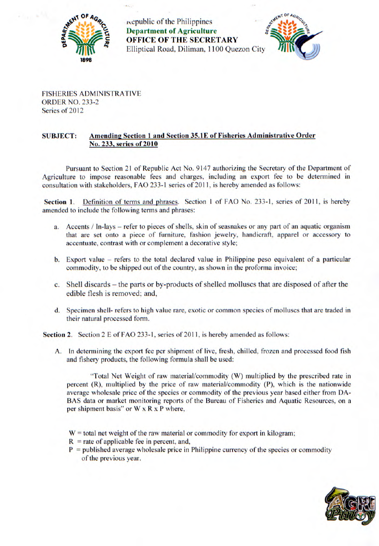

xepublic of the Philippines Republic of the Philippines<br> **Department of Agriculture OFFICE OF THE SECRETARY**  Elliptical Road, Diliman, 1100 Quezon City



FISHERIES ADMINISTRATIVE ORDER NO. 233-2 Series of 2012

## **SUBJECT: Amending Section 1 and Section 35.1E of Fisheries Administrative Order No. 233, series of 2010**

Pursuant to Section 21 of Republic Act No. 9147 authorizing the Secretary of the Department of Agriculture to impose reasonable fees and charges, including an export fee to be determined in consultation with stakeholders, FAO 233-1 series of 2011, is hereby amended as follows:

Section 1. Definition of terms and phrases. Section 1 of FAO No. 233-1, series of 2011, is hereby amended to include the following terms and phrases:

- a. Accents / In-lays refer to pieces of shells, skin of seasnakes or any part of an aquatic organism that are set onto a piece of furniture, fashion jewelry, handicraft, apparel or accessory to accentuate, contrast with or complement a decorative style;
- b. Export value refers to the total declared value in Philippine peso equivalent of a particular commodity, to be shipped out of the country, as shown in the proforma invoice;
- c. Shell discards the parts or by-products of shelled molluscs that are disposed of after the edible flesh is removed; and,
- d. Specimen shell- refers to high value rare, exotic or common species of molluscs thai arc traded in their natural processed form.

Section 2. Section 2 E of FAO 233-1, series of 2011, is hereby amended as follows:

A. In determining the export fee per shipment of live, fresh, chilled, frozen and processed food fish and fishery products, the following formula shall be used:

"Total Net Weight of raw material/commodity (W) multiplied by the prescribed rate in percent (R), multiplied by the price of raw material/commodity (P), which is the nationwide average wholesale price of the species or commodity of the previous year based either from DA-BAS data or market monitoring reports of the Bureau of Fisheries and Aquatic Resources, on a per shipment basis" or W x R x P where,

- $W =$  total net weight of the raw material or commodity for export in kilogram;
- $R$  = rate of applicable fee in percent, and,
- $P =$  published average wholesale price in Philippine currency of the species or commodity of the previous year.

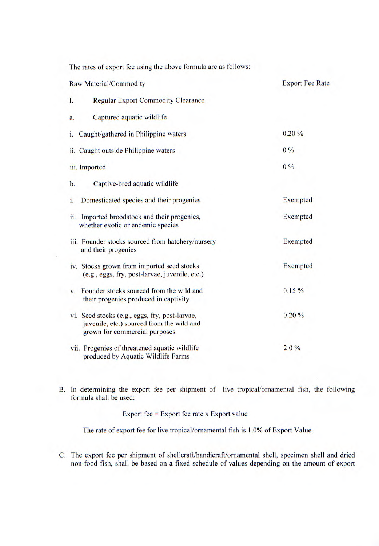| The rates of export fee using the above formula are as follows:                                                              |                        |
|------------------------------------------------------------------------------------------------------------------------------|------------------------|
| Raw Material/Commodity                                                                                                       | <b>Export Fee Rate</b> |
| <b>Regular Export Commodity Clearance</b><br>I.                                                                              |                        |
| Captured aquatic wildlife<br>a.                                                                                              |                        |
| Caught/gathered in Philippine waters<br>i.                                                                                   | 0.20%                  |
| ii. Caught outside Philippine waters                                                                                         | $0\%$                  |
| iii. Imported                                                                                                                | $0\%$                  |
| Captive-bred aquatic wildlife<br>b.                                                                                          |                        |
| Domesticated species and their progenies<br>i.                                                                               | <b>Exempted</b>        |
| Imported broodstock and their progenies,<br>ii.<br>whether exotic or endemic species                                         | Exempted               |
| iii. Founder stocks sourced from hatchery/nursery<br>and their progenies                                                     | Exempted               |
| iv. Stocks grown from imported seed stocks<br>(e.g., eggs, fry, post-larvae, juvenile, etc.)                                 | Exempted               |
| Founder stocks sourced from the wild and<br>$V_{\star}$<br>their progenies produced in captivity                             | 0.15%                  |
| vi. Seed stocks (e.g., eggs, fry, post-larvae,<br>juvenile, etc.) sourced from the wild and<br>grown for commercial purposes | 0.20%                  |
| vii. Progenies of threatened aquatic wildlife<br>produced by Aquatic Wildlife Farms                                          | 2.0%                   |

÷.

B. In determining the export fee per shipment of live tropical/ornamental fish, the following formula shall be used:

Export fee = Export fee rate x Export value

The rate of export fee for live tropical/ornamental fish is 1.0% of Export Value.

C. The export fee per shipment of **shellcraft/handicraft/ornamental shell, specimen shell and dried non-food fish, shall be based on a fixed schedule** of values depending on the amount of export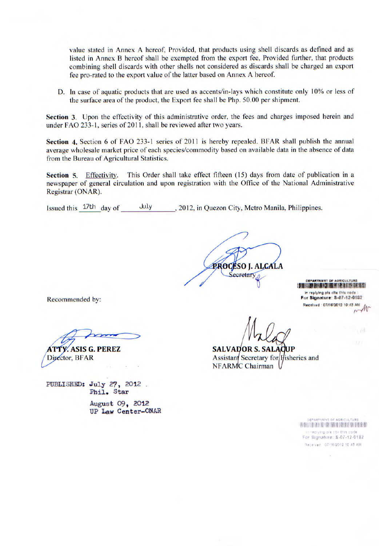value stated in Annex A hereof, Provided, that products using shell discards as defined and as listed in Annex B hereof shall be exempted from the export fee, Provided further, that products combining shell discards with other shells not considered as discards shall be charged an export fee pro-rated to the export value of the latter based on Annex A hereof.

D. In case of aquatic products that are used as accents/in-lays which constitute only 10% or less of the surface area of the product, the Export fee shall be Php. 50.00 per shipment.

**Section** 3. Upon the effectivity of this administrative order, the fees and charges imposed herein and under FAO 233-1, series of 2011, shall be reviewed after two years.

**Section 4.** Section 6 of FAO 233-1 series of 2011 is hereby repealed. BFAR shall publish the annual average wholesale market price of each species/commodity based on available data in the absence of data from the Bureau of Agricultural Statistics.

**Section 5.** Effectivity. This Order shall take effect fifteen (15) days from date of publication in a newspaper of general circulation and upon registration with the Office of the National Administrative Registrar (ONAR).

Issued this  $17th$  day of  $JU_1V$ , 2012, in Quezon City, Metro Manila, Philippines.

**DROCKSO J. ALCATERING ACCORDING ACCORDING ACCORDING ACCORDING ACCORDING ACCORDING ACCORDING ACCORDING ACCORDING ACCORDING ACCORDING ACCORDING ACCORDING ACCORDING ACCORDING ACCORDING ACCORDING ACCORDING A DIRECTION OF A SS** 

Assistant Secretary for Fisheries and

NFARMC Chairman

**DEPARTMENT OF AORICULTURE ISUITEE III IN III IN III IN III IN III IN III IN III IN III IN III IN III IN III IN III IN III IN III IN III** in replying pls cite this code **For Signature: 5.01420182 R.c.Iv.d** *0711e1012* **10:43 AM** 

**ATTY, ASIS G. PEREZ** 

Recommended by:

PUBLISHED: July 27, 2012. Phil. Star

> August 09, 2012 UP Law Center-ONAR

> > 身难住! 群港 律 權 國 德 權 對 隨 情 情 is replying pla cite this cod Foi **Signatuie: S.O7**-12-0182 Received 07/16/2012 10 43 AM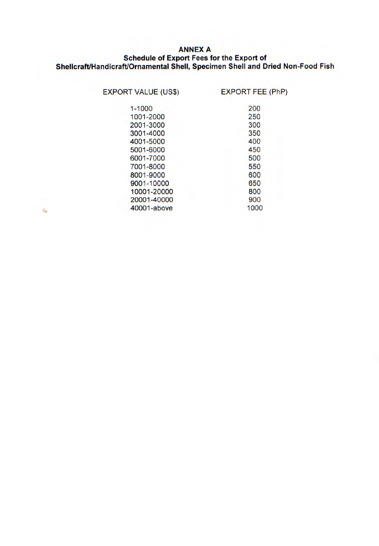## **ANNEX A Schedule** of Export Fees for the Export of Shellcraft/Handicraft/Ornamental Shell, Specimen Shell and Dried Non-Food Fish

EXPORT VALUE (US\$) EXPORT FEE (PhP)

| $1 - 1000$  | 200  |
|-------------|------|
| 1001-2000   | 250  |
| 2001-3000   | 300  |
| 3001-4000   | 350  |
| 4001-5000   | 400  |
| 5001-6000   | 450  |
| 6001-7000   | 500  |
| 7001-8000   | 550  |
| 8001-9000   | 600  |
| 9001-10000  | 650  |
| 10001-20000 | 800  |
| 20001-40000 | 900  |
| 40001-above | 1000 |
|             |      |

**CONTRACTOR**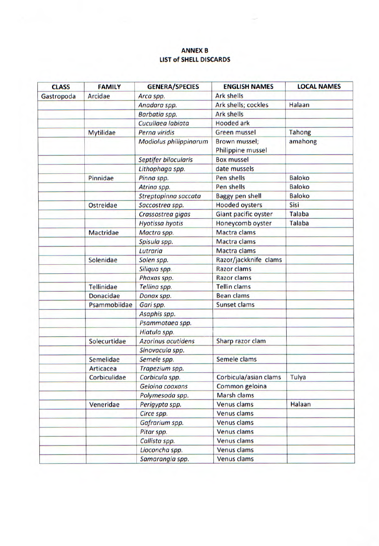## **ANNEX B LIST of SHELL DISCARDS**

| <b>CLASS</b>                                         | <b>FAMILY</b>             | <b>GENERA/SPECIES</b>       | <b>ENGLISH NAMES</b>                      | <b>LOCAL NAMES</b> |
|------------------------------------------------------|---------------------------|-----------------------------|-------------------------------------------|--------------------|
| <b>Arcidae</b><br>Gastropoda                         |                           | Arca spp.                   | <b>Ark shells</b>                         |                    |
|                                                      |                           | Anadara spp.                | Ark shells; cockles                       | <b>Halaan</b>      |
|                                                      |                           | <b>Barbatia spp.</b>        | <b>Ark shells</b>                         |                    |
|                                                      | Cucullaea labiata         | <b>Hooded ark</b>           |                                           |                    |
|                                                      | Mytilidae                 | Perna viridis               | <b>Green mussel</b>                       | <b>Tahong</b>      |
|                                                      |                           | Modiolus philippinarum      | <b>Brown mussel;</b><br>Philippine mussel | amahong            |
|                                                      |                           | <b>Septifer bilocularis</b> | <b>Box mussel</b>                         |                    |
|                                                      |                           | Lithophaga spp.             | date mussels                              |                    |
|                                                      | Pinnidae                  | Pinna spp.                  | Pen shells                                | <b>Baloko</b>      |
|                                                      |                           | Atrina spp.                 | Pen shells                                | <b>Baloko</b>      |
|                                                      |                           | Streptopinna saccata        | <b>Baggy pen shell</b>                    | <b>Baloko</b>      |
|                                                      | Ostreidae                 | Saccostrea spp.             | <b>Hooded oysters</b>                     | <b>Sisi</b>        |
|                                                      |                           | Crassostrea gigas           | <b>Giant pacific oyster</b>               | <b>Talaba</b>      |
|                                                      |                           | <b>Hyotissa hyotis</b>      | Honeycomb oyster                          | <b>Talaba</b>      |
|                                                      | <b>Mactridae</b>          | Mactra spp.                 | <b>Mactra clams</b>                       |                    |
|                                                      |                           | Spisula spp.                | <b>Mactra clams</b>                       |                    |
|                                                      |                           | Lutraria                    | Mactra clams                              |                    |
|                                                      | Solenidae                 | Solen spp.                  | Razor/jackknife clams                     |                    |
|                                                      |                           | Siliqua spp.                | <b>Razor clams</b>                        |                    |
|                                                      |                           | Phaxas spp.                 | <b>Razor clams</b>                        |                    |
|                                                      | <b>Tellinidae</b>         | Tellina spp.                | <b>Tellin clams</b>                       |                    |
|                                                      | <b>Donacidae</b>          | Donax spp.                  | <b>Bean clams</b>                         |                    |
|                                                      | Psammobiidae              | Gari spp.                   | <b>Sunset clams</b>                       |                    |
|                                                      |                           | Asaphis spp.                |                                           |                    |
|                                                      |                           | Psammotaea spp.             |                                           |                    |
| Solecurtidae                                         | Hiatula spp.              |                             |                                           |                    |
|                                                      | <b>Azorinus acutidens</b> | Sharp razor clam            |                                           |                    |
|                                                      |                           | Sinovacula spp.             |                                           |                    |
| <b>Semelidae</b><br><b>Articacea</b><br>Corbiculidae | Semele spp.               | Semele clams                |                                           |                    |
|                                                      |                           | Trapezium spp.              |                                           |                    |
|                                                      |                           | Corbicula spp.              | Corbicula/asian clams                     | Tulya              |
|                                                      | Geloina coaxans           | Common geloina              |                                           |                    |
|                                                      | Polymesoda spp.           | <b>Marsh clams</b>          |                                           |                    |
|                                                      | Veneridae                 | Perigypta spp.              | <b>Venus clams</b>                        | Halaan             |
|                                                      | Circe spp.                | <b>Venus clams</b>          |                                           |                    |
|                                                      |                           | Gafrarium spp.              | <b>Venus clams</b>                        |                    |
|                                                      |                           | Pitar spp.                  | <b>Venus clams</b>                        |                    |
|                                                      |                           | Callista spp.               | <b>Venus clams</b>                        |                    |
|                                                      |                           | Lioconcha spp.              | <b>Venus clams</b>                        |                    |
|                                                      |                           | Samarangia spp.             | <b>Venus clams</b>                        |                    |